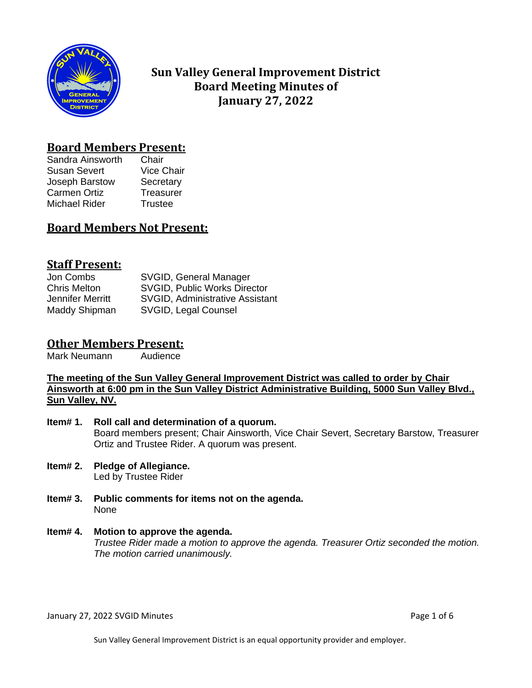

# **Sun Valley General Improvement District Board Meeting Minutes of January 27, 2022**

# **Board Members Present:**

Sandra Ainsworth Chair Susan Severt Vice Chair Joseph Barstow Secretary Carmen Ortiz **Treasurer** Michael Rider Trustee

# **Board Members Not Present:**

# **Staff Present:**

Jon Combs SVGID, General Manager Chris Melton SVGID, Public Works Director Jennifer Merritt SVGID, Administrative Assistant Maddy Shipman SVGID, Legal Counsel

# **Other Members Present:**

Mark Neumann Audience

**The meeting of the Sun Valley General Improvement District was called to order by Chair Ainsworth at 6:00 pm in the Sun Valley District Administrative Building, 5000 Sun Valley Blvd., Sun Valley, NV.**

- **Item# 1. Roll call and determination of a quorum.** Board members present; Chair Ainsworth, Vice Chair Severt, Secretary Barstow, Treasurer Ortiz and Trustee Rider. A quorum was present.
- **Item# 2. Pledge of Allegiance.** Led by Trustee Rider
- **Item# 3. Public comments for items not on the agenda.**  None

#### **Item# 4. Motion to approve the agenda.** *Trustee Rider made a motion to approve the agenda. Treasurer Ortiz seconded the motion. The motion carried unanimously.*

January 27, 2022 SVGID Minutes **Page 1 of 6** and 2011 12:00 and 2012 12:00 and 2012 12:00 and 2012 12:00 and 201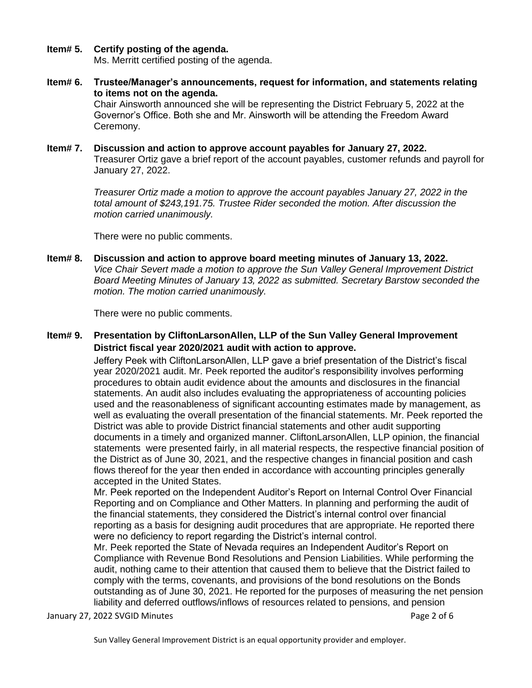### **Item# 5. Certify posting of the agenda.**

Ms. Merritt certified posting of the agenda.

**Item# 6. Trustee/Manager's announcements, request for information, and statements relating to items not on the agenda.**

Chair Ainsworth announced she will be representing the District February 5, 2022 at the Governor's Office. Both she and Mr. Ainsworth will be attending the Freedom Award Ceremony.

**Item# 7. Discussion and action to approve account payables for January 27, 2022.**  Treasurer Ortiz gave a brief report of the account payables, customer refunds and payroll for January 27, 2022.

> *Treasurer Ortiz made a motion to approve the account payables January 27, 2022 in the total amount of \$243,191.75. Trustee Rider seconded the motion. After discussion the motion carried unanimously.*

There were no public comments.

**Item# 8. Discussion and action to approve board meeting minutes of January 13, 2022.**  *Vice Chair Severt made a motion to approve the Sun Valley General Improvement District Board Meeting Minutes of January 13, 2022 as submitted. Secretary Barstow seconded the motion. The motion carried unanimously.*

There were no public comments.

**Item# 9. Presentation by CliftonLarsonAllen, LLP of the Sun Valley General Improvement District fiscal year 2020/2021 audit with action to approve.**

> Jeffery Peek with CliftonLarsonAllen, LLP gave a brief presentation of the District's fiscal year 2020/2021 audit. Mr. Peek reported the auditor's responsibility involves performing procedures to obtain audit evidence about the amounts and disclosures in the financial statements. An audit also includes evaluating the appropriateness of accounting policies used and the reasonableness of significant accounting estimates made by management, as well as evaluating the overall presentation of the financial statements. Mr. Peek reported the District was able to provide District financial statements and other audit supporting documents in a timely and organized manner. CliftonLarsonAllen, LLP opinion, the financial statements were presented fairly, in all material respects, the respective financial position of the District as of June 30, 2021, and the respective changes in financial position and cash flows thereof for the year then ended in accordance with accounting principles generally accepted in the United States.

Mr. Peek reported on the Independent Auditor's Report on Internal Control Over Financial Reporting and on Compliance and Other Matters. In planning and performing the audit of the financial statements, they considered the District's internal control over financial reporting as a basis for designing audit procedures that are appropriate. He reported there were no deficiency to report regarding the District's internal control.

Mr. Peek reported the State of Nevada requires an Independent Auditor's Report on Compliance with Revenue Bond Resolutions and Pension Liabilities. While performing the audit, nothing came to their attention that caused them to believe that the District failed to comply with the terms, covenants, and provisions of the bond resolutions on the Bonds outstanding as of June 30, 2021. He reported for the purposes of measuring the net pension liability and deferred outflows/inflows of resources related to pensions, and pension

January 27, 2022 SVGID Minutes **Page 2 of 6** and 2011 12:00 and 2011 12:00 and 2011 12:00 and 2012 12:00 and 201

Sun Valley General Improvement District is an equal opportunity provider and employer.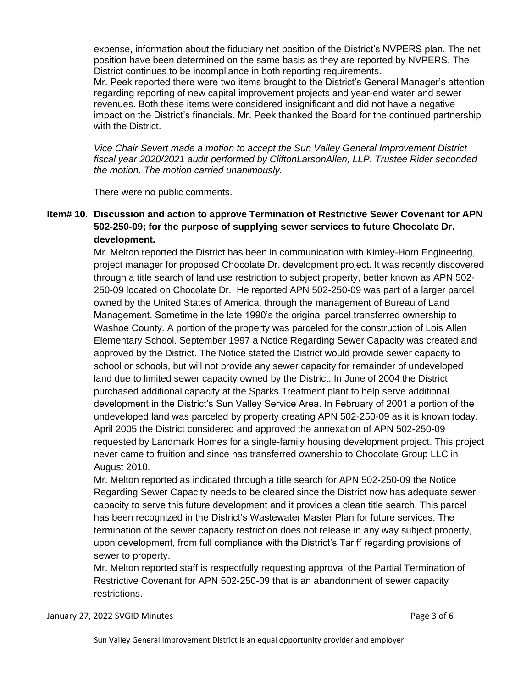expense, information about the fiduciary net position of the District's NVPERS plan. The net position have been determined on the same basis as they are reported by NVPERS. The District continues to be incompliance in both reporting requirements.

Mr. Peek reported there were two items brought to the District's General Manager's attention regarding reporting of new capital improvement projects and year-end water and sewer revenues. Both these items were considered insignificant and did not have a negative impact on the District's financials. Mr. Peek thanked the Board for the continued partnership with the District.

*Vice Chair Severt made a motion to accept the Sun Valley General Improvement District fiscal year 2020/2021 audit performed by CliftonLarsonAllen, LLP. Trustee Rider seconded the motion. The motion carried unanimously.* 

There were no public comments.

## **Item# 10. Discussion and action to approve Termination of Restrictive Sewer Covenant for APN 502-250-09; for the purpose of supplying sewer services to future Chocolate Dr. development.**

Mr. Melton reported the District has been in communication with Kimley-Horn Engineering, project manager for proposed Chocolate Dr. development project. It was recently discovered through a title search of land use restriction to subject property, better known as APN 502- 250-09 located on Chocolate Dr. He reported APN 502-250-09 was part of a larger parcel owned by the United States of America, through the management of Bureau of Land Management. Sometime in the late 1990's the original parcel transferred ownership to Washoe County. A portion of the property was parceled for the construction of Lois Allen Elementary School. September 1997 a Notice Regarding Sewer Capacity was created and approved by the District. The Notice stated the District would provide sewer capacity to school or schools, but will not provide any sewer capacity for remainder of undeveloped land due to limited sewer capacity owned by the District. In June of 2004 the District purchased additional capacity at the Sparks Treatment plant to help serve additional development in the District's Sun Valley Service Area. In February of 2001 a portion of the undeveloped land was parceled by property creating APN 502-250-09 as it is known today. April 2005 the District considered and approved the annexation of APN 502-250-09 requested by Landmark Homes for a single-family housing development project. This project never came to fruition and since has transferred ownership to Chocolate Group LLC in August 2010.

Mr. Melton reported as indicated through a title search for APN 502-250-09 the Notice Regarding Sewer Capacity needs to be cleared since the District now has adequate sewer capacity to serve this future development and it provides a clean title search. This parcel has been recognized in the District's Wastewater Master Plan for future services. The termination of the sewer capacity restriction does not release in any way subject property, upon development, from full compliance with the District's Tariff regarding provisions of sewer to property.

Mr. Melton reported staff is respectfully requesting approval of the Partial Termination of Restrictive Covenant for APN 502-250-09 that is an abandonment of sewer capacity restrictions.

#### January 27, 2022 SVGID Minutes **Page 3 of 6** and 2011 12:00 and 2012 12:00 and 2012 12:00 and 2012 12:00 and 201

Sun Valley General Improvement District is an equal opportunity provider and employer.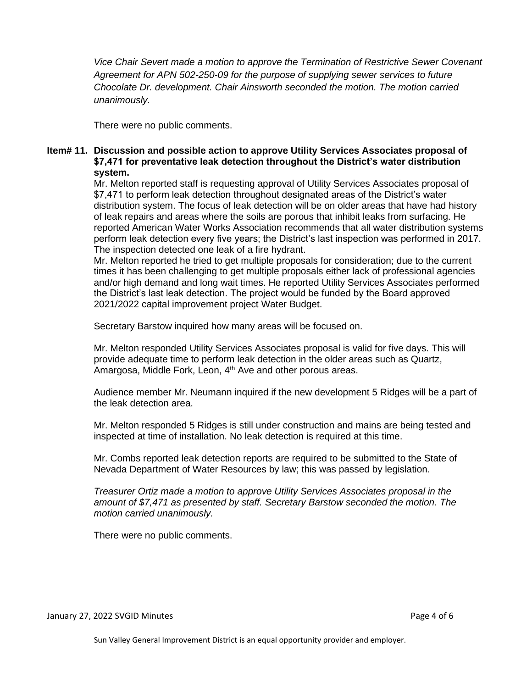*Vice Chair Severt made a motion to approve the Termination of Restrictive Sewer Covenant Agreement for APN 502-250-09 for the purpose of supplying sewer services to future Chocolate Dr. development. Chair Ainsworth seconded the motion. The motion carried unanimously.* 

There were no public comments.

## **Item# 11. Discussion and possible action to approve Utility Services Associates proposal of \$7,471 for preventative leak detection throughout the District's water distribution system.**

Mr. Melton reported staff is requesting approval of Utility Services Associates proposal of \$7,471 to perform leak detection throughout designated areas of the District's water distribution system. The focus of leak detection will be on older areas that have had history of leak repairs and areas where the soils are porous that inhibit leaks from surfacing. He reported American Water Works Association recommends that all water distribution systems perform leak detection every five years; the District's last inspection was performed in 2017. The inspection detected one leak of a fire hydrant.

Mr. Melton reported he tried to get multiple proposals for consideration; due to the current times it has been challenging to get multiple proposals either lack of professional agencies and/or high demand and long wait times. He reported Utility Services Associates performed the District's last leak detection. The project would be funded by the Board approved 2021/2022 capital improvement project Water Budget.

Secretary Barstow inquired how many areas will be focused on.

Mr. Melton responded Utility Services Associates proposal is valid for five days. This will provide adequate time to perform leak detection in the older areas such as Quartz, Amargosa, Middle Fork, Leon, 4<sup>th</sup> Ave and other porous areas.

Audience member Mr. Neumann inquired if the new development 5 Ridges will be a part of the leak detection area.

Mr. Melton responded 5 Ridges is still under construction and mains are being tested and inspected at time of installation. No leak detection is required at this time.

Mr. Combs reported leak detection reports are required to be submitted to the State of Nevada Department of Water Resources by law; this was passed by legislation.

*Treasurer Ortiz made a motion to approve Utility Services Associates proposal in the amount of \$7,471 as presented by staff. Secretary Barstow seconded the motion. The motion carried unanimously.*

There were no public comments.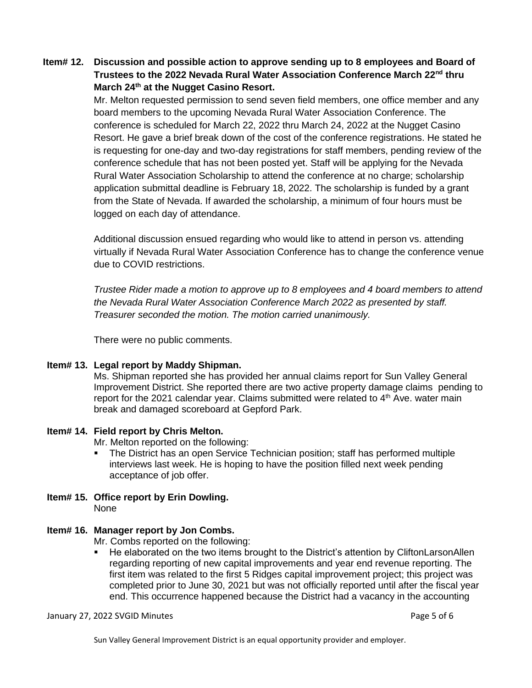# **Item# 12. Discussion and possible action to approve sending up to 8 employees and Board of Trustees to the 2022 Nevada Rural Water Association Conference March 22nd thru March 24th at the Nugget Casino Resort.**

Mr. Melton requested permission to send seven field members, one office member and any board members to the upcoming Nevada Rural Water Association Conference. The conference is scheduled for March 22, 2022 thru March 24, 2022 at the Nugget Casino Resort. He gave a brief break down of the cost of the conference registrations. He stated he is requesting for one-day and two-day registrations for staff members, pending review of the conference schedule that has not been posted yet. Staff will be applying for the Nevada Rural Water Association Scholarship to attend the conference at no charge; scholarship application submittal deadline is February 18, 2022. The scholarship is funded by a grant from the State of Nevada. If awarded the scholarship, a minimum of four hours must be logged on each day of attendance.

Additional discussion ensued regarding who would like to attend in person vs. attending virtually if Nevada Rural Water Association Conference has to change the conference venue due to COVID restrictions.

*Trustee Rider made a motion to approve up to 8 employees and 4 board members to attend the Nevada Rural Water Association Conference March 2022 as presented by staff. Treasurer seconded the motion. The motion carried unanimously.*

There were no public comments.

## **Item# 13. Legal report by Maddy Shipman.**

Ms. Shipman reported she has provided her annual claims report for Sun Valley General Improvement District. She reported there are two active property damage claims pending to report for the 2021 calendar year. Claims submitted were related to  $4<sup>th</sup>$  Ave. water main break and damaged scoreboard at Gepford Park.

## **Item# 14. Field report by Chris Melton.**

Mr. Melton reported on the following:

- The District has an open Service Technician position; staff has performed multiple interviews last week. He is hoping to have the position filled next week pending acceptance of job offer.
- **Item# 15. Office report by Erin Dowling.**  None

# **Item# 16. Manager report by Jon Combs.**

Mr. Combs reported on the following:

■ He elaborated on the two items brought to the District's attention by CliftonLarsonAllen regarding reporting of new capital improvements and year end revenue reporting. The first item was related to the first 5 Ridges capital improvement project; this project was completed prior to June 30, 2021 but was not officially reported until after the fiscal year end. This occurrence happened because the District had a vacancy in the accounting

January 27, 2022 SVGID Minutes **Page 1 of 6** and 2011 12:00 and 2012 12:00 and 2012 12:00 and 2012 12:00 and 201

Sun Valley General Improvement District is an equal opportunity provider and employer.